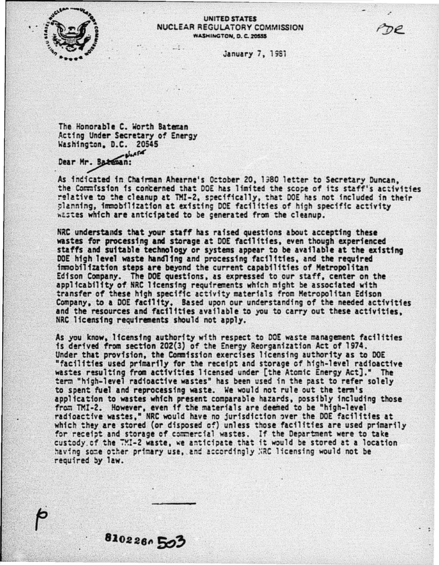

## **UNITED STATES** NUCLEAR REGULATORY COMMISSION WASHINGTON, D. C. 20555

**January 7, 1981** 

The Honorable C. Worth Bateman Acting Under Secretary of Energy Washington, D.C. 20545  $-24666$ 

8102260503

Dear Mr. Bateman:

As indicated in Chairman Ahearne's October 20, 1980 letter to Secretary Duncan. the Commission is concerned that DOE has limited the scope of its staff's activities relative to the cleanup at TMI-2, specifically, that DOE has not included in their planning, immobilization at existing DOE facilities of high specific activity wastes which are anticipated to be generated from the cleanup.

NRC understands that your staff has raised questions about accepting these wastes for processing and storage at DOE facilities, even though experienced staffs and suitable technology or systems appear to be available at the existing DOE high level waste handling and processing facilities, and the required immobilization steps are beyond the current capabilities of Metropolitan Edison Company. The DOE questions, as expressed to our staff, center on the applicability of NRC licensing requirements which might be associated with transfer of these high specific activity materials from Metropolitan Edison Company, to a DOE facility. Based upon our understanding of the needed activities and the resources and facilities available to you to carry out these activities. NRC licensing requirements should not apply.

As you know. Ifcensing authority with respect to DOE waste management facilities is derived from section 202(3) of the Energy Reorganization Act of 1974. Under that provision, the Commission exercises licensing authority as to DOE "facilities used primarily for the receipt and storage of high-level radioactive wastes resulting from activities licensed under [the Atomic Energy Act]." The term "high-level radioactive wastes" has been used in the past to refer solely to spent fuel and reprocessing waste. We would not rule out the term's application to wastes which present comparable hazards, possibly including those from TMI-2. However, even if the materials are deemed to be "high-level radioactive wastes," NRC would have no jurisdiction over the DOE facilities at<br>which they are stored (or disposed of) unless those facilities are used primarily for receipt and storage of commercial wastes. If the Department were to take custody of the TMI-2 waste, we anticipate that it would be stored at a location having some other primary use, and accordingly NRC licensing would not be required by law.